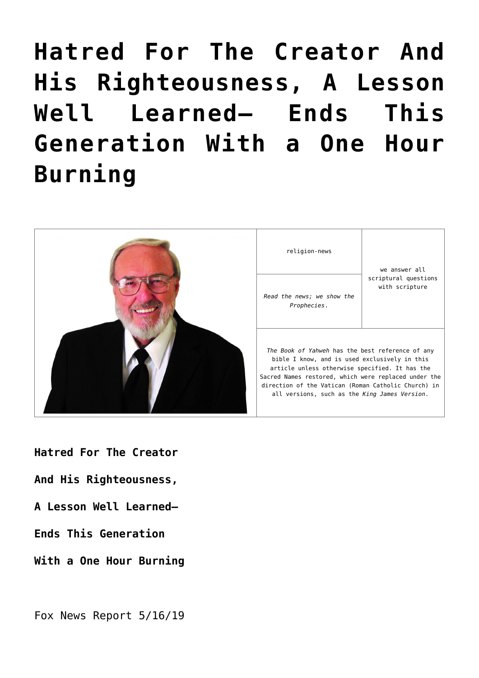# **[Hatred For The Creator And](https://yahwehsbranch.com/hatred-for-the-creator-and-his-righteousness-a-lesson-well-learned-ends-this-generation-with-a-one-hour-burning/) [His Righteousness, A Lesson](https://yahwehsbranch.com/hatred-for-the-creator-and-his-righteousness-a-lesson-well-learned-ends-this-generation-with-a-one-hour-burning/) [Well Learned— Ends This](https://yahwehsbranch.com/hatred-for-the-creator-and-his-righteousness-a-lesson-well-learned-ends-this-generation-with-a-one-hour-burning/) [Generation With a One Hour](https://yahwehsbranch.com/hatred-for-the-creator-and-his-righteousness-a-lesson-well-learned-ends-this-generation-with-a-one-hour-burning/) [Burning](https://yahwehsbranch.com/hatred-for-the-creator-and-his-righteousness-a-lesson-well-learned-ends-this-generation-with-a-one-hour-burning/)**



**Hatred For The Creator**

- **And His Righteousness,**
- **A Lesson Well Learned—**
- **Ends This Generation**
- **With a One Hour Burning**

Fox News Report 5/16/19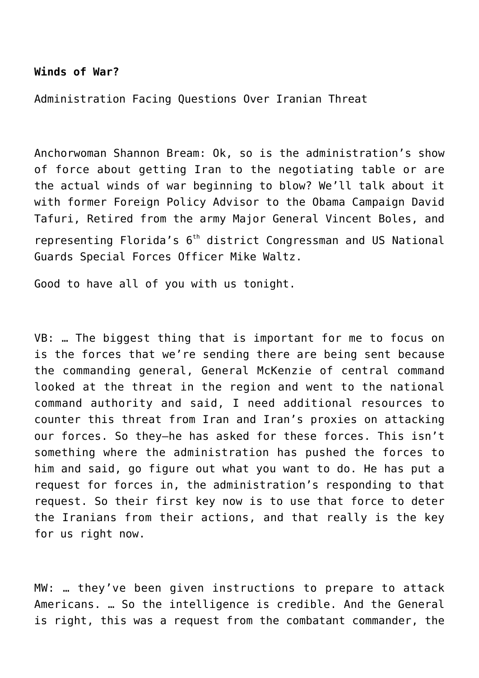## **Winds of War?**

Administration Facing Questions Over Iranian Threat

Anchorwoman Shannon Bream: Ok, so is the administration's show of force about getting Iran to the negotiating table or are the actual winds of war beginning to blow? We'll talk about it with former Foreign Policy Advisor to the Obama Campaign David Tafuri, Retired from the army Major General Vincent Boles, and representing Florida's 6<sup>th</sup> district Congressman and US National Guards Special Forces Officer Mike Waltz.

Good to have all of you with us tonight.

VB: … The biggest thing that is important for me to focus on is the forces that we're sending there are being sent because the commanding general, General McKenzie of central command looked at the threat in the region and went to the national command authority and said, I need additional resources to counter this threat from Iran and Iran's proxies on attacking our forces. So they–he has asked for these forces. This isn't something where the administration has pushed the forces to him and said, go figure out what you want to do. He has put a request for forces in, the administration's responding to that request. So their first key now is to use that force to deter the Iranians from their actions, and that really is the key for us right now.

MW: … they've been given instructions to prepare to attack Americans. … So the intelligence is credible. And the General is right, this was a request from the combatant commander, the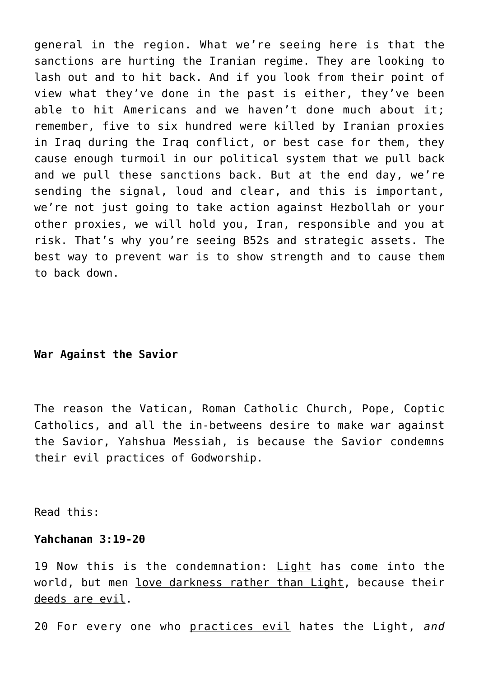general in the region. What we're seeing here is that the sanctions are hurting the Iranian regime. They are looking to lash out and to hit back. And if you look from their point of view what they've done in the past is either, they've been able to hit Americans and we haven't done much about it; remember, five to six hundred were killed by Iranian proxies in Iraq during the Iraq conflict, or best case for them, they cause enough turmoil in our political system that we pull back and we pull these sanctions back. But at the end day, we're sending the signal, loud and clear, and this is important, we're not just going to take action against Hezbollah or your other proxies, we will hold you, Iran, responsible and you at risk. That's why you're seeing B52s and strategic assets. The best way to prevent war is to show strength and to cause them to back down.

# **War Against the Savior**

The reason the Vatican, Roman Catholic Church, Pope, Coptic Catholics, and all the in-betweens desire to make war against the Savior, Yahshua Messiah, is because the Savior condemns their evil practices of Godworship.

Read this:

## **Yahchanan 3:19-20**

19 Now this is the condemnation: Light has come into the world, but men love darkness rather than Light, because their deeds are evil.

20 For every one who practices evil hates the Light, *and*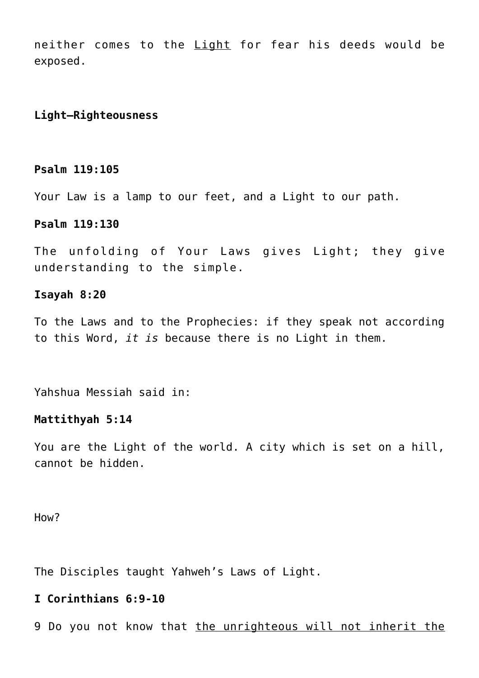neither comes to the Light for fear his deeds would be exposed.

# **Light—Righteousness**

## **Psalm 119:105**

Your Law is a lamp to our feet, and a Light to our path.

## **Psalm 119:130**

The unfolding of Your Laws gives Light; they give understanding to the simple.

#### **Isayah 8:20**

To the Laws and to the Prophecies: if they speak not according to this Word, *it is* because there is no Light in them.

Yahshua Messiah said in:

#### **Mattithyah 5:14**

You are the Light of the world. A city which is set on a hill, cannot be hidden.

How?

The Disciples taught Yahweh's Laws of Light.

# **I Corinthians 6:9-10**

9 Do you not know that the unrighteous will not inherit the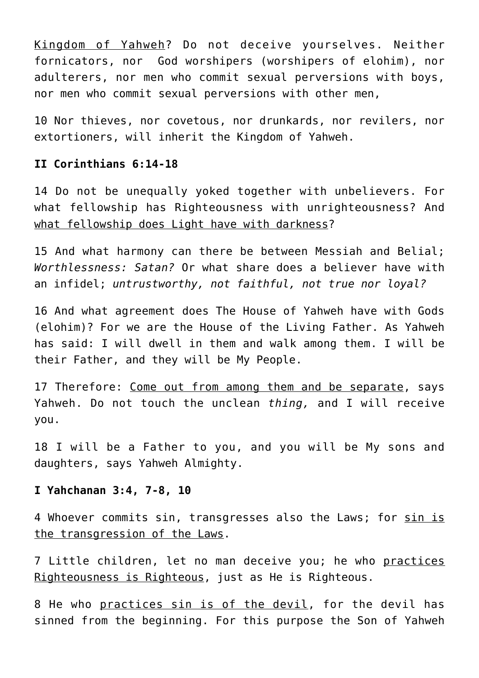Kingdom of Yahweh? Do not deceive yourselves. Neither fornicators, nor God worshipers (worshipers of elohim), nor adulterers, nor men who commit sexual perversions with boys, nor men who commit sexual perversions with other men,

10 Nor thieves, nor covetous, nor drunkards, nor revilers, nor extortioners, will inherit the Kingdom of Yahweh.

## **II Corinthians 6:14-18**

14 Do not be unequally yoked together with unbelievers. For what fellowship has Righteousness with unrighteousness? And what fellowship does Light have with darkness?

15 And what harmony can there be between Messiah and Belial; *Worthlessness: Satan?* Or what share does a believer have with an infidel; *untrustworthy, not faithful, not true nor loyal?*

16 And what agreement does The House of Yahweh have with Gods (elohim)? For we are the House of the Living Father. As Yahweh has said: I will dwell in them and walk among them. I will be their Father, and they will be My People.

17 Therefore: Come out from among them and be separate, says Yahweh. Do not touch the unclean *thing,* and I will receive you.

18 I will be a Father to you, and you will be My sons and daughters, says Yahweh Almighty.

## **I Yahchanan 3:4, 7-8, 10**

4 Whoever commits sin, transgresses also the Laws; for sin is the transgression of the Laws.

7 Little children, let no man deceive you; he who practices Righteousness is Righteous, just as He is Righteous.

8 He who practices sin is of the devil, for the devil has sinned from the beginning. For this purpose the Son of Yahweh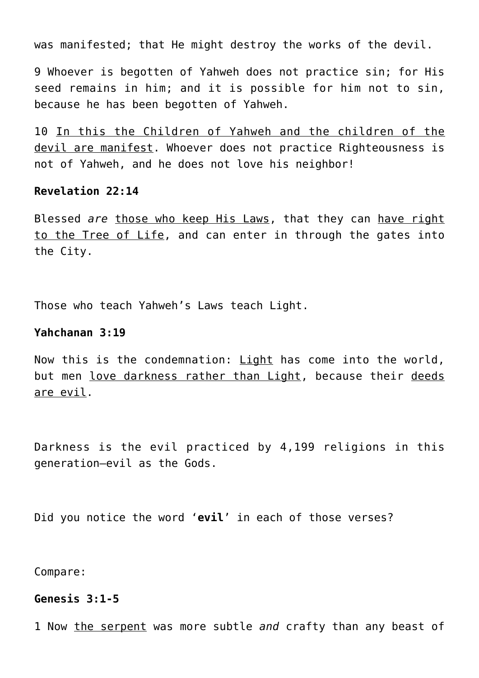was manifested; that He might destroy the works of the devil.

9 Whoever is begotten of Yahweh does not practice sin; for His seed remains in him; and it is possible for him not to sin, because he has been begotten of Yahweh.

10 In this the Children of Yahweh and the children of the devil are manifest. Whoever does not practice Righteousness is not of Yahweh, and he does not love his neighbor!

## **Revelation 22:14**

Blessed *are* those who keep His Laws, that they can have right to the Tree of Life, and can enter in through the gates into the City.

Those who teach Yahweh's Laws teach Light.

## **Yahchanan 3:19**

Now this is the condemnation: Light has come into the world, but men love darkness rather than Light, because their deeds are evil.

Darkness is the evil practiced by 4,199 religions in this generation—evil as the Gods.

Did you notice the word '**evil**' in each of those verses?

Compare:

# **Genesis 3:1-5**

1 Now the serpent was more subtle *and* crafty than any beast of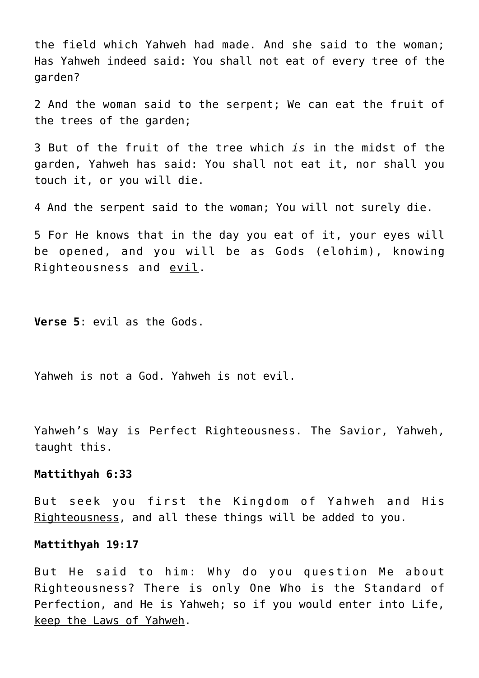the field which Yahweh had made. And she said to the woman; Has Yahweh indeed said: You shall not eat of every tree of the garden?

2 And the woman said to the serpent; We can eat the fruit of the trees of the garden;

3 But of the fruit of the tree which *is* in the midst of the garden, Yahweh has said: You shall not eat it, nor shall you touch it, or you will die.

4 And the serpent said to the woman; You will not surely die.

5 For He knows that in the day you eat of it, your eyes will be opened, and you will be as Gods (elohim), knowing Righteousness and evil.

**Verse 5**: evil as the Gods.

Yahweh is not a God. Yahweh is not evil.

Yahweh's Way is Perfect Righteousness. The Savior, Yahweh, taught this.

#### **Mattithyah 6:33**

But seek you first the Kingdom of Yahweh and His Righteousness, and all these things will be added to you.

#### **Mattithyah 19:17**

But He said to him: Why do you question Me about Righteousness? There is only One Who is the Standard of Perfection, and He is Yahweh; so if you would enter into Life, keep the Laws of Yahweh.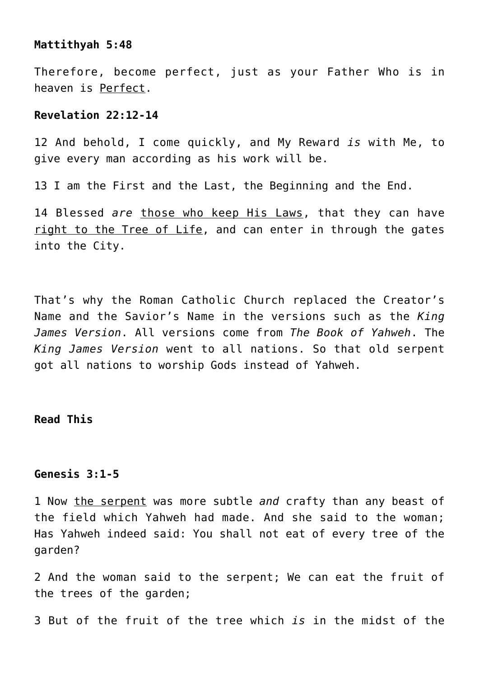## **Mattithyah 5:48**

Therefore, become perfect, just as your Father Who is in heaven is Perfect.

## **Revelation 22:12-14**

12 And behold, I come quickly, and My Reward *is* with Me, to give every man according as his work will be.

13 I am the First and the Last, the Beginning and the End.

14 Blessed *are* those who keep His Laws, that they can have right to the Tree of Life, and can enter in through the gates into the City.

That's why the Roman Catholic Church replaced the Creator's Name and the Savior's Name in the versions such as the *King James Version*. All versions come from *The Book of Yahweh*. The *King James Version* went to all nations. So that old serpent got all nations to worship Gods instead of Yahweh.

## **Read This**

# **Genesis 3:1-5**

1 Now the serpent was more subtle *and* crafty than any beast of the field which Yahweh had made. And she said to the woman; Has Yahweh indeed said: You shall not eat of every tree of the garden?

2 And the woman said to the serpent; We can eat the fruit of the trees of the garden;

3 But of the fruit of the tree which *is* in the midst of the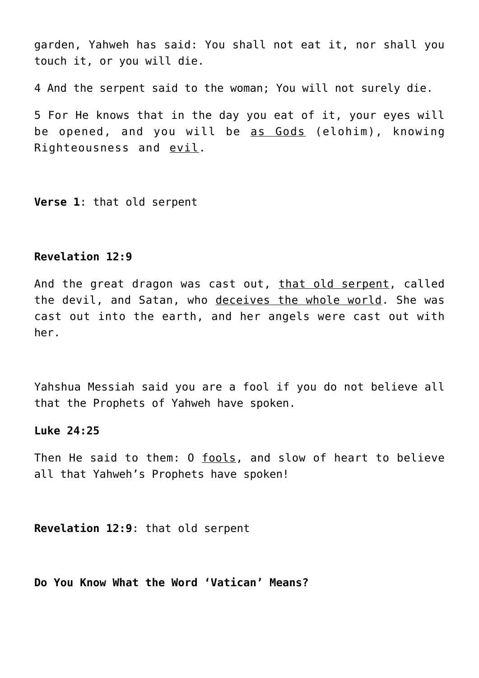garden, Yahweh has said: You shall not eat it, nor shall you touch it, or you will die.

4 And the serpent said to the woman; You will not surely die.

5 For He knows that in the day you eat of it, your eyes will be opened, and you will be as Gods (elohim), knowing Righteousness and evil.

**Verse 1**: that old serpent

## **Revelation 12:9**

And the great dragon was cast out, that old serpent, called the devil, and Satan, who deceives the whole world. She was cast out into the earth, and her angels were cast out with her.

Yahshua Messiah said you are a fool if you do not believe all that the Prophets of Yahweh have spoken.

#### **Luke 24:25**

Then He said to them: O fools, and slow of heart to believe all that Yahweh's Prophets have spoken!

**Revelation 12:9**: that old serpent

**Do You Know What the Word 'Vatican' Means?**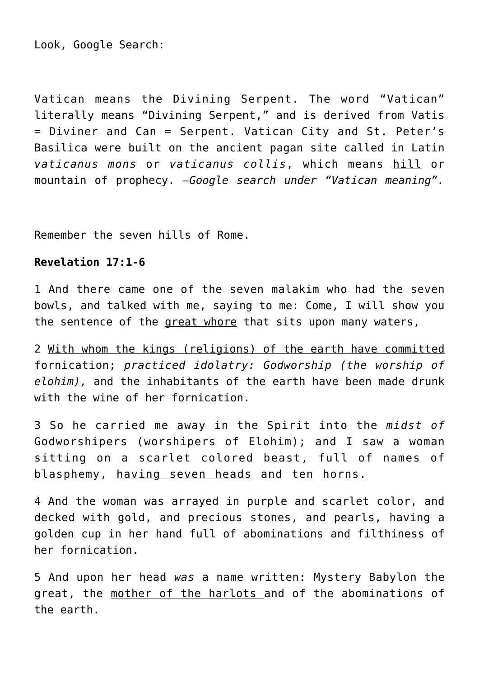Look, Google Search:

Vatican means the Divining Serpent. The word "Vatican" literally means "Divining Serpent," and is derived from Vatis = Diviner and Can = Serpent. Vatican City and St. Peter's Basilica were built on the ancient pagan site called in Latin *vaticanus mons* or *vaticanus collis*, which means hill or mountain of prophecy. —*Google search under "Vatican meaning".*

Remember the seven hills of Rome.

## **Revelation 17:1-6**

1 And there came one of the seven malakim who had the seven bowls, and talked with me, saying to me: Come, I will show you the sentence of the great whore that sits upon many waters,

2 With whom the kings (religions) of the earth have committed fornication; *practiced idolatry: Godworship (the worship of elohim),* and the inhabitants of the earth have been made drunk with the wine of her fornication.

3 So he carried me away in the Spirit into the *midst of* Godworshipers (worshipers of Elohim); and I saw a woman sitting on a scarlet colored beast, full of names of blasphemy, having seven heads and ten horns.

4 And the woman was arrayed in purple and scarlet color, and decked with gold, and precious stones, and pearls, having a golden cup in her hand full of abominations and filthiness of her fornication.

5 And upon her head *was* a name written: Mystery Babylon the great, the mother of the harlots and of the abominations of the earth.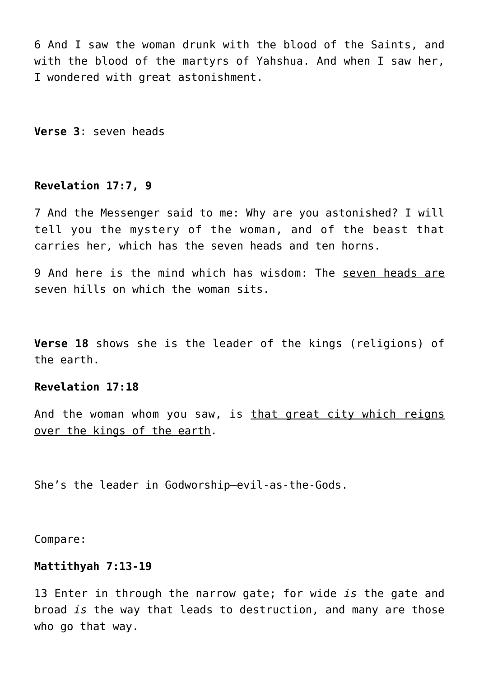6 And I saw the woman drunk with the blood of the Saints, and with the blood of the martyrs of Yahshua. And when I saw her, I wondered with great astonishment.

**Verse 3**: seven heads

## **Revelation 17:7, 9**

7 And the Messenger said to me: Why are you astonished? I will tell you the mystery of the woman, and of the beast that carries her, which has the seven heads and ten horns.

9 And here is the mind which has wisdom: The seven heads are seven hills on which the woman sits.

**Verse 18** shows she is the leader of the kings (religions) of the earth.

## **Revelation 17:18**

And the woman whom you saw, is that great city which reigns over the kings of the earth.

She's the leader in Godworship—evil-as-the-Gods.

Compare:

#### **Mattithyah 7:13-19**

13 Enter in through the narrow gate; for wide *is* the gate and broad *is* the way that leads to destruction, and many are those who go that way.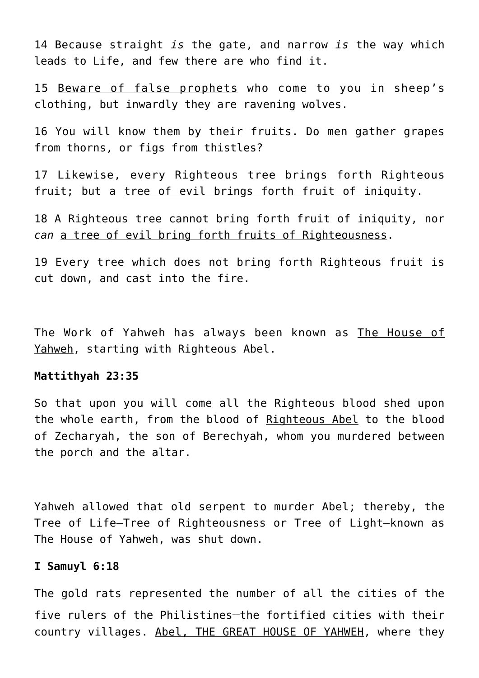14 Because straight *is* the gate, and narrow *is* the way which leads to Life, and few there are who find it.

15 Beware of false prophets who come to you in sheep's clothing, but inwardly they are ravening wolves.

16 You will know them by their fruits. Do men gather grapes from thorns, or figs from thistles?

17 Likewise, every Righteous tree brings forth Righteous fruit; but a tree of evil brings forth fruit of iniquity.

18 A Righteous tree cannot bring forth fruit of iniquity, nor *can* a tree of evil bring forth fruits of Righteousness.

19 Every tree which does not bring forth Righteous fruit is cut down, and cast into the fire.

The Work of Yahweh has always been known as The House of Yahweh, starting with Righteous Abel.

#### **Mattithyah 23:35**

So that upon you will come all the Righteous blood shed upon the whole earth, from the blood of Righteous Abel to the blood of Zecharyah, the son of Berechyah, whom you murdered between the porch and the altar.

Yahweh allowed that old serpent to murder Abel; thereby, the Tree of Life—Tree of Righteousness or Tree of Light—known as The House of Yahweh, was shut down.

#### **I Samuyl 6:18**

The gold rats represented the number of all the cities of the five rulers of the Philistines-the fortified cities with their country villages. Abel, THE GREAT HOUSE OF YAHWEH, where they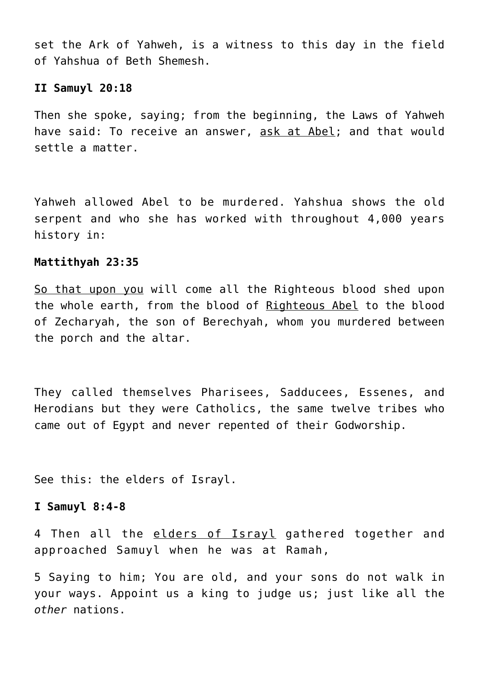set the Ark of Yahweh, is a witness to this day in the field of Yahshua of Beth Shemesh.

#### **II Samuyl 20:18**

Then she spoke, saying; from the beginning, the Laws of Yahweh have said: To receive an answer, ask at Abel; and that would settle a matter.

Yahweh allowed Abel to be murdered. Yahshua shows the old serpent and who she has worked with throughout 4,000 years history in:

#### **Mattithyah 23:35**

So that upon you will come all the Righteous blood shed upon the whole earth, from the blood of Righteous Abel to the blood of Zecharyah, the son of Berechyah, whom you murdered between the porch and the altar.

They called themselves Pharisees, Sadducees, Essenes, and Herodians but they were Catholics, the same twelve tribes who came out of Egypt and never repented of their Godworship.

See this: the elders of Israyl.

#### **I Samuyl 8:4-8**

4 Then all the elders of Israyl gathered together and approached Samuyl when he was at Ramah,

5 Saying to him; You are old, and your sons do not walk in your ways. Appoint us a king to judge us; just like all the *other* nations.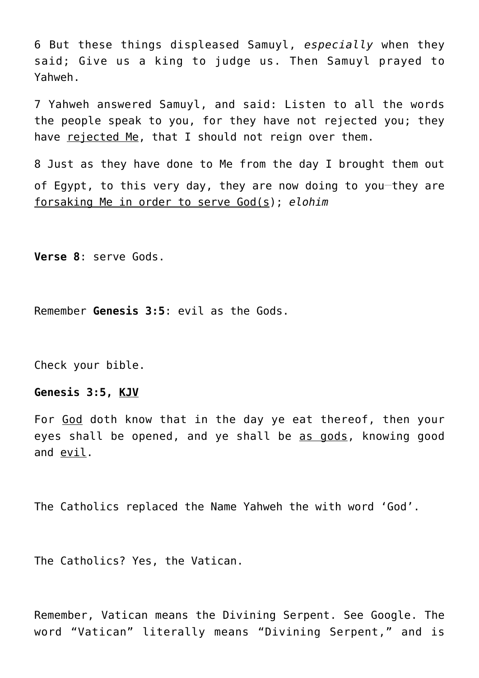6 But these things displeased Samuyl, *especially* when they said; Give us a king to judge us. Then Samuyl prayed to Yahweh.

7 Yahweh answered Samuyl, and said: Listen to all the words the people speak to you, for they have not rejected you; they have rejected Me, that I should not reign over them.

8 Just as they have done to Me from the day I brought them out of Egypt, to this very day, they are now doing to you-they are forsaking Me in order to serve God(s); *elohim*

**Verse 8**: serve Gods.

Remember **Genesis 3:5**: evil as the Gods.

Check your bible.

## **Genesis 3:5, KJV**

For God doth know that in the day ye eat thereof, then your eyes shall be opened, and ye shall be as gods, knowing good and evil.

The Catholics replaced the Name Yahweh the with word 'God'.

The Catholics? Yes, the Vatican.

Remember, Vatican means the Divining Serpent. See Google. The word "Vatican" literally means "Divining Serpent," and is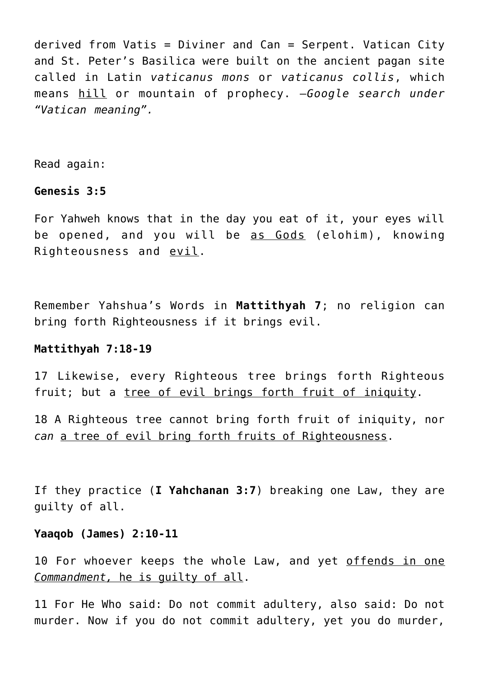derived from Vatis = Diviner and Can = Serpent. Vatican City and St. Peter's Basilica were built on the ancient pagan site called in Latin *vaticanus mons* or *vaticanus collis*, which means hill or mountain of prophecy. —*Google search under "Vatican meaning".*

Read again:

## **Genesis 3:5**

For Yahweh knows that in the day you eat of it, your eyes will be opened, and you will be as Gods (elohim), knowing Righteousness and evil.

Remember Yahshua's Words in **Mattithyah 7**; no religion can bring forth Righteousness if it brings evil.

#### **Mattithyah 7:18-19**

17 Likewise, every Righteous tree brings forth Righteous fruit; but a tree of evil brings forth fruit of iniquity.

18 A Righteous tree cannot bring forth fruit of iniquity, nor *can* a tree of evil bring forth fruits of Righteousness.

If they practice (**I Yahchanan 3:7**) breaking one Law, they are guilty of all.

#### **Yaaqob (James) 2:10-11**

10 For whoever keeps the whole Law, and yet offends in one *Commandment,* he is guilty of all.

11 For He Who said: Do not commit adultery, also said: Do not murder. Now if you do not commit adultery, yet you do murder,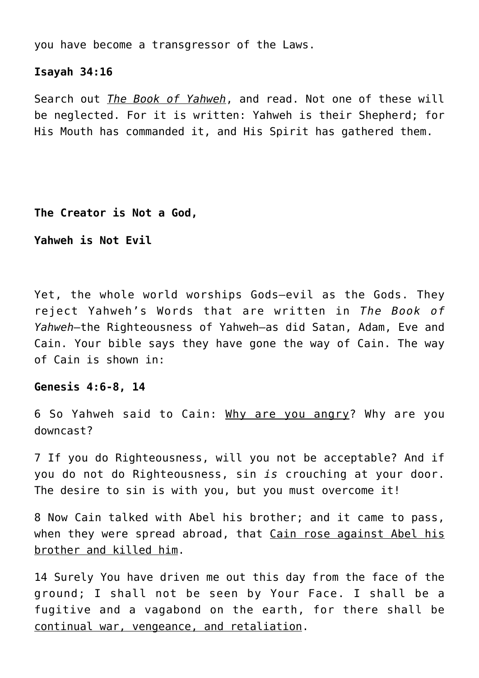you have become a transgressor of the Laws.

#### **Isayah 34:16**

Search out *The Book of Yahweh*, and read. Not one of these will be neglected. For it is written: Yahweh is their Shepherd; for His Mouth has commanded it, and His Spirit has gathered them.

**The Creator is Not a God,**

**Yahweh is Not Evil**

Yet, the whole world worships Gods—evil as the Gods. They reject Yahweh's Words that are written in *The Book of Yahweh*—the Righteousness of Yahweh—as did Satan, Adam, Eve and Cain. Your bible says they have gone the way of Cain. The way of Cain is shown in:

#### **Genesis 4:6-8, 14**

6 So Yahweh said to Cain: Why are you angry? Why are you downcast?

7 If you do Righteousness, will you not be acceptable? And if you do not do Righteousness, sin *is* crouching at your door. The desire to sin is with you, but you must overcome it!

8 Now Cain talked with Abel his brother; and it came to pass, when they were spread abroad, that Cain rose against Abel his brother and killed him.

14 Surely You have driven me out this day from the face of the ground; I shall not be seen by Your Face. I shall be a fugitive and a vagabond on the earth, for there shall be continual war, vengeance, and retaliation.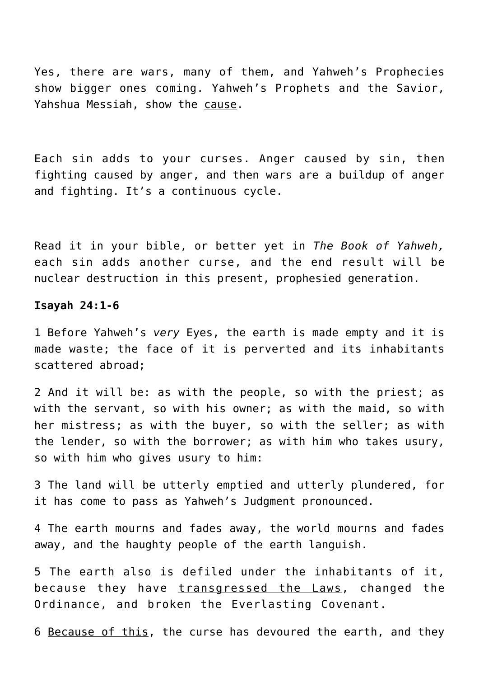Yes, there are wars, many of them, and Yahweh's Prophecies show bigger ones coming. Yahweh's Prophets and the Savior, Yahshua Messiah, show the cause.

Each sin adds to your curses. Anger caused by sin, then fighting caused by anger, and then wars are a buildup of anger and fighting. It's a continuous cycle.

Read it in your bible, or better yet in *The Book of Yahweh,* each sin adds another curse, and the end result will be nuclear destruction in this present, prophesied generation.

#### **Isayah 24:1-6**

1 Before Yahweh's *very* Eyes, the earth is made empty and it is made waste; the face of it is perverted and its inhabitants scattered abroad;

2 And it will be: as with the people, so with the priest; as with the servant, so with his owner; as with the maid, so with her mistress; as with the buyer, so with the seller; as with the lender, so with the borrower; as with him who takes usury, so with him who gives usury to him:

3 The land will be utterly emptied and utterly plundered, for it has come to pass as Yahweh's Judgment pronounced.

4 The earth mourns and fades away, the world mourns and fades away, and the haughty people of the earth languish.

5 The earth also is defiled under the inhabitants of it, because they have transgressed the Laws, changed the Ordinance, and broken the Everlasting Covenant.

6 Because of this, the curse has devoured the earth, and they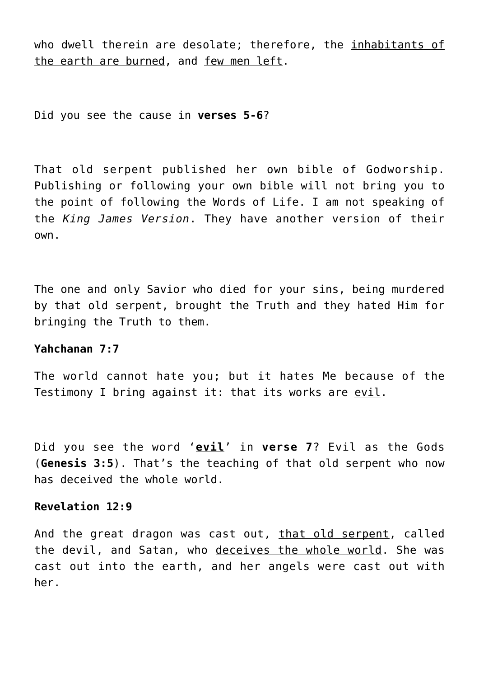who dwell therein are desolate; therefore, the inhabitants of the earth are burned, and few men left.

Did you see the cause in **verses 5-6**?

That old serpent published her own bible of Godworship. Publishing or following your own bible will not bring you to the point of following the Words of Life. I am not speaking of the *King James Version*. They have another version of their own.

The one and only Savior who died for your sins, being murdered by that old serpent, brought the Truth and they hated Him for bringing the Truth to them.

# **Yahchanan 7:7**

The world cannot hate you; but it hates Me because of the Testimony I bring against it: that its works are evil.

Did you see the word '**evil**' in **verse 7**? Evil as the Gods (**Genesis 3:5**). That's the teaching of that old serpent who now has deceived the whole world.

#### **Revelation 12:9**

And the great dragon was cast out, that old serpent, called the devil, and Satan, who deceives the whole world. She was cast out into the earth, and her angels were cast out with her.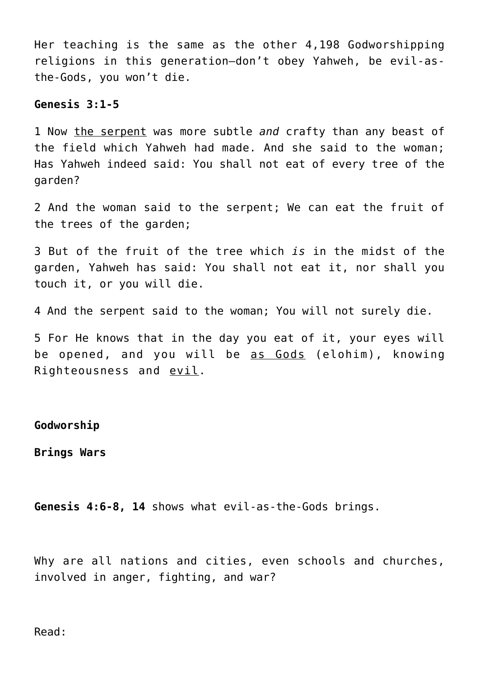Her teaching is the same as the other 4,198 Godworshipping religions in this generation—don't obey Yahweh, be evil-asthe-Gods, you won't die.

#### **Genesis 3:1-5**

1 Now the serpent was more subtle *and* crafty than any beast of the field which Yahweh had made. And she said to the woman; Has Yahweh indeed said: You shall not eat of every tree of the garden?

2 And the woman said to the serpent; We can eat the fruit of the trees of the garden;

3 But of the fruit of the tree which *is* in the midst of the garden, Yahweh has said: You shall not eat it, nor shall you touch it, or you will die.

4 And the serpent said to the woman; You will not surely die.

5 For He knows that in the day you eat of it, your eyes will be opened, and you will be as Gods (elohim), knowing Righteousness and evil.

## **Godworship**

**Brings Wars**

**Genesis 4:6-8, 14** shows what evil-as-the-Gods brings.

Why are all nations and cities, even schools and churches, involved in anger, fighting, and war?

Read: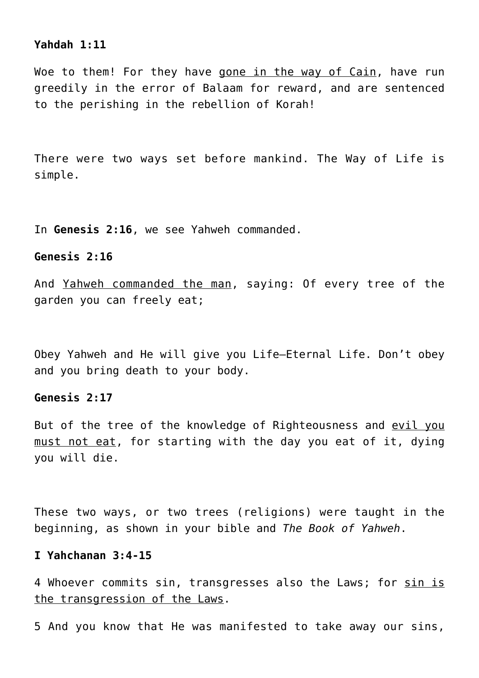## **Yahdah 1:11**

Woe to them! For they have gone in the way of Cain, have run greedily in the error of Balaam for reward, and are sentenced to the perishing in the rebellion of Korah!

There were two ways set before mankind. The Way of Life is simple.

In **Genesis 2:16**, we see Yahweh commanded.

#### **Genesis 2:16**

And Yahweh commanded the man, saying: Of every tree of the garden you can freely eat;

Obey Yahweh and He will give you Life—Eternal Life. Don't obey and you bring death to your body.

## **Genesis 2:17**

But of the tree of the knowledge of Righteousness and evil you must not eat, for starting with the day you eat of it, dying you will die.

These two ways, or two trees (religions) were taught in the beginning, as shown in your bible and *The Book of Yahweh*.

## **I Yahchanan 3:4-15**

4 Whoever commits sin, transgresses also the Laws; for sin is the transgression of the Laws.

5 And you know that He was manifested to take away our sins,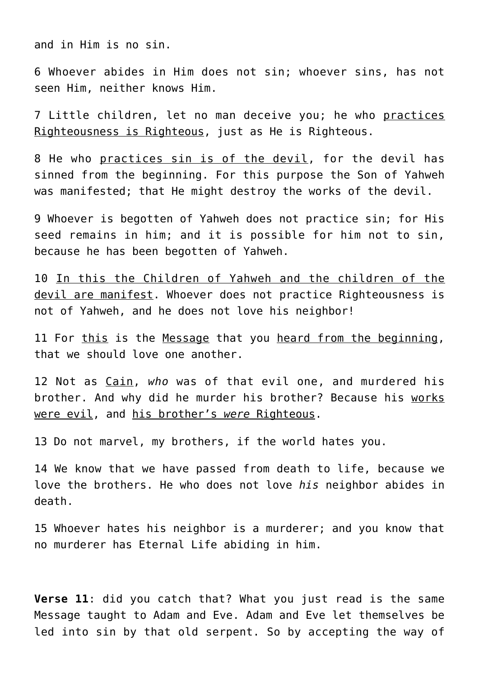and in Him is no sin.

6 Whoever abides in Him does not sin; whoever sins, has not seen Him, neither knows Him.

7 Little children, let no man deceive you; he who practices Righteousness is Righteous, just as He is Righteous.

8 He who practices sin is of the devil, for the devil has sinned from the beginning. For this purpose the Son of Yahweh was manifested; that He might destroy the works of the devil.

9 Whoever is begotten of Yahweh does not practice sin; for His seed remains in him; and it is possible for him not to sin, because he has been begotten of Yahweh.

10 In this the Children of Yahweh and the children of the devil are manifest. Whoever does not practice Righteousness is not of Yahweh, and he does not love his neighbor!

11 For this is the Message that you heard from the beginning, that we should love one another.

12 Not as Cain, *who* was of that evil one, and murdered his brother. And why did he murder his brother? Because his works were evil, and his brother's *were* Righteous.

13 Do not marvel, my brothers, if the world hates you.

14 We know that we have passed from death to life, because we love the brothers. He who does not love *his* neighbor abides in death.

15 Whoever hates his neighbor is a murderer; and you know that no murderer has Eternal Life abiding in him.

**Verse 11**: did you catch that? What you just read is the same Message taught to Adam and Eve. Adam and Eve let themselves be led into sin by that old serpent. So by accepting the way of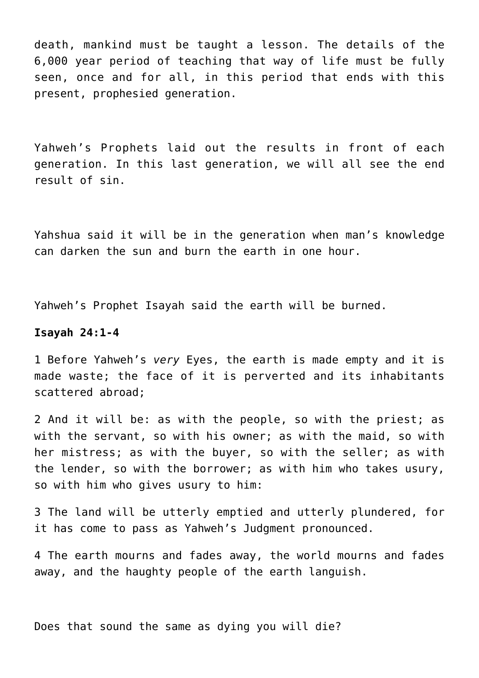death, mankind must be taught a lesson. The details of the 6,000 year period of teaching that way of life must be fully seen, once and for all, in this period that ends with this present, prophesied generation.

Yahweh's Prophets laid out the results in front of each generation. In this last generation, we will all see the end result of sin.

Yahshua said it will be in the generation when man's knowledge can darken the sun and burn the earth in one hour.

Yahweh's Prophet Isayah said the earth will be burned.

#### **Isayah 24:1-4**

1 Before Yahweh's *very* Eyes, the earth is made empty and it is made waste; the face of it is perverted and its inhabitants scattered abroad;

2 And it will be: as with the people, so with the priest; as with the servant, so with his owner; as with the maid, so with her mistress; as with the buyer, so with the seller; as with the lender, so with the borrower; as with him who takes usury, so with him who gives usury to him:

3 The land will be utterly emptied and utterly plundered, for it has come to pass as Yahweh's Judgment pronounced.

4 The earth mourns and fades away, the world mourns and fades away, and the haughty people of the earth languish.

Does that sound the same as dying you will die?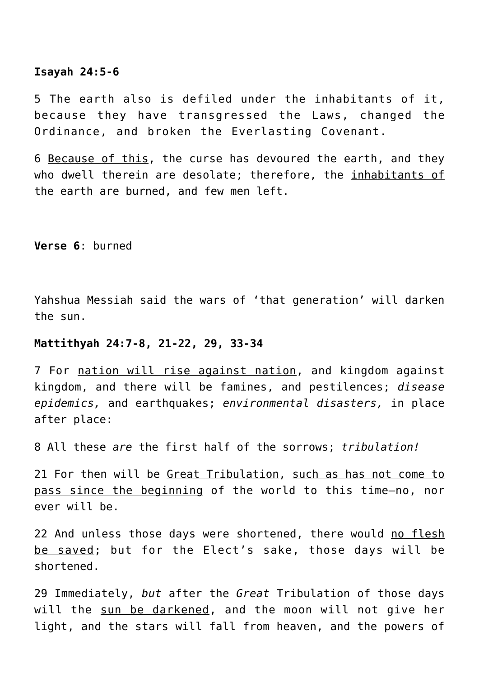#### **Isayah 24:5-6**

5 The earth also is defiled under the inhabitants of it, because they have transgressed the Laws, changed the Ordinance, and broken the Everlasting Covenant.

6 Because of this, the curse has devoured the earth, and they who dwell therein are desolate; therefore, the inhabitants of the earth are burned, and few men left.

**Verse 6**: burned

Yahshua Messiah said the wars of 'that generation' will darken the sun.

#### **Mattithyah 24:7-8, 21-22, 29, 33-34**

7 For nation will rise against nation, and kingdom against kingdom, and there will be famines, and pestilences; *disease epidemics,* and earthquakes; *environmental disasters,* in place after place:

8 All these *are* the first half of the sorrows; *tribulation!*

21 For then will be Great Tribulation, such as has not come to pass since the beginning of the world to this time—no, nor ever will be.

22 And unless those days were shortened, there would no flesh be saved; but for the Elect's sake, those days will be shortened.

29 Immediately, *but* after the *Great* Tribulation of those days will the sun be darkened, and the moon will not give her light, and the stars will fall from heaven, and the powers of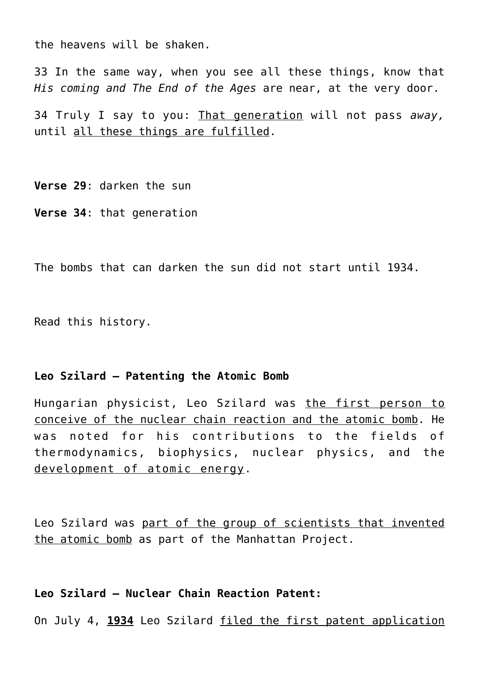the heavens will be shaken.

33 In the same way, when you see all these things, know that *His coming and The End of the Ages* are near, at the very door.

34 Truly I say to you: That generation will not pass *away,* until all these things are fulfilled.

**Verse 29**: darken the sun **Verse 34**: that generation

The bombs that can darken the sun did not start until 1934.

Read this history.

#### **Leo Szilard – Patenting the Atomic Bomb**

Hungarian physicist, Leo Szilard was the first person to conceive of the nuclear chain reaction and the atomic bomb. He was noted for his contributions to the fields of thermodynamics, biophysics, nuclear physics, and the development of atomic energy.

Leo Szilard was part of the group of scientists that invented the atomic bomb as part of the Manhattan Project.

## **Leo Szilard – Nuclear Chain Reaction Patent:**

On July 4, **1934** Leo Szilard filed the first patent application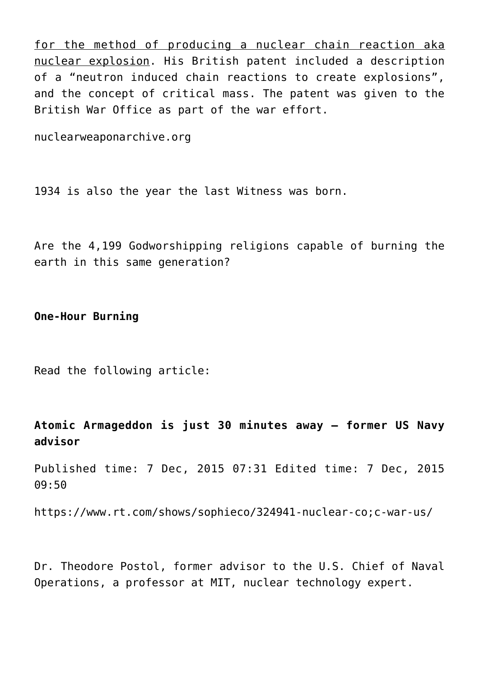for the method of producing a nuclear chain reaction aka nuclear explosion. His British patent included a description of a "neutron induced chain reactions to create explosions", and the concept of critical mass. The patent was given to the British War Office as part of the war effort.

nuclearweaponarchive.org

1934 is also the year the last Witness was born.

Are the 4,199 Godworshipping religions capable of burning the earth in this same generation?

**One-Hour Burning**

Read the following article:

**Atomic Armageddon is just 30 minutes away – former US Navy advisor**

Published time: 7 Dec, 2015 07:31 Edited time: 7 Dec, 2015 09:50

https://www.rt.com/shows/sophieco/324941-nuclear-co;c-war-us/

Dr. Theodore Postol, former advisor to the U.S. Chief of Naval Operations, a professor at MIT, nuclear technology expert.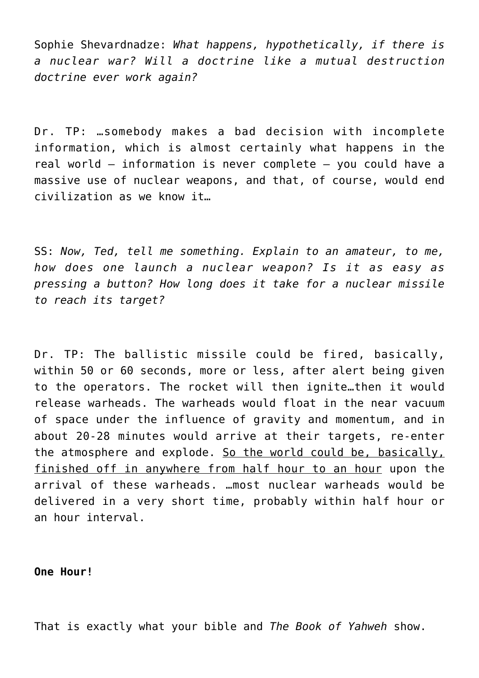Sophie Shevardnadze: *What happens, hypothetically, if there is a nuclear war? Will a doctrine like a mutual destruction doctrine ever work again?*

Dr. TP: …somebody makes a bad decision with incomplete information, which is almost certainly what happens in the real world – information is never complete – you could have a massive use of nuclear weapons, and that, of course, would end civilization as we know it…

SS: *Now, Ted, tell me something. Explain to an amateur, to me, how does one launch a nuclear weapon? Is it as easy as pressing a button? How long does it take for a nuclear missile to reach its target?*

Dr. TP: The ballistic missile could be fired, basically, within 50 or 60 seconds, more or less, after alert being given to the operators. The rocket will then ignite…then it would release warheads. The warheads would float in the near vacuum of space under the influence of gravity and momentum, and in about 20-28 minutes would arrive at their targets, re-enter the atmosphere and explode. So the world could be, basically, finished off in anywhere from half hour to an hour upon the arrival of these warheads. …most nuclear warheads would be delivered in a very short time, probably within half hour or an hour interval.

#### **One Hour!**

That is exactly what your bible and *The Book of Yahweh* show.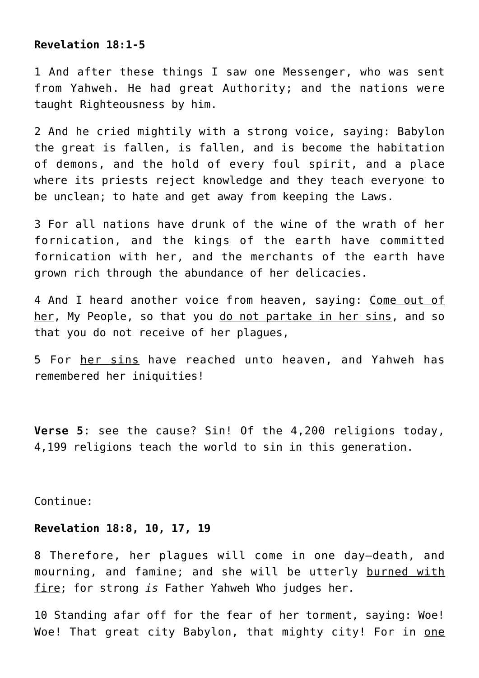#### **Revelation 18:1-5**

1 And after these things I saw one Messenger, who was sent from Yahweh. He had great Authority; and the nations were taught Righteousness by him.

2 And he cried mightily with a strong voice, saying: Babylon the great is fallen, is fallen, and is become the habitation of demons, and the hold of every foul spirit, and a place where its priests reject knowledge and they teach everyone to be unclean; to hate and get away from keeping the Laws.

3 For all nations have drunk of the wine of the wrath of her fornication, and the kings of the earth have committed fornication with her, and the merchants of the earth have grown rich through the abundance of her delicacies.

4 And I heard another voice from heaven, saying: Come out of her, My People, so that you do not partake in her sins, and so that you do not receive of her plagues,

5 For her sins have reached unto heaven, and Yahweh has remembered her iniquities!

**Verse 5**: see the cause? Sin! Of the 4,200 religions today, 4,199 religions teach the world to sin in this generation.

Continue:

## **Revelation 18:8, 10, 17, 19**

8 Therefore, her plagues will come in one day—death, and mourning, and famine; and she will be utterly burned with fire; for strong *is* Father Yahweh Who judges her.

10 Standing afar off for the fear of her torment, saying: Woe! Woe! That great city Babylon, that mighty city! For in one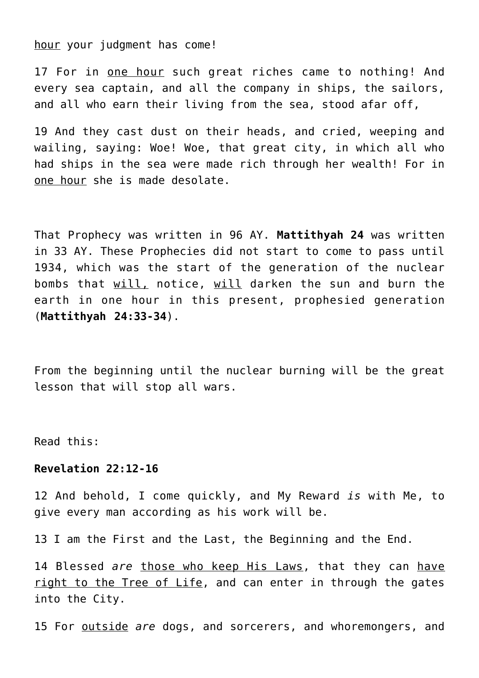hour your judgment has come!

17 For in one hour such great riches came to nothing! And every sea captain, and all the company in ships, the sailors, and all who earn their living from the sea, stood afar off,

19 And they cast dust on their heads, and cried, weeping and wailing, saying: Woe! Woe, that great city, in which all who had ships in the sea were made rich through her wealth! For in one hour she is made desolate.

That Prophecy was written in 96 AY. **Mattithyah 24** was written in 33 AY. These Prophecies did not start to come to pass until 1934, which was the start of the generation of the nuclear bombs that will, notice, will darken the sun and burn the earth in one hour in this present, prophesied generation (**Mattithyah 24:33-34**).

From the beginning until the nuclear burning will be the great lesson that will stop all wars.

Read this:

## **Revelation 22:12-16**

12 And behold, I come quickly, and My Reward *is* with Me, to give every man according as his work will be.

13 I am the First and the Last, the Beginning and the End.

14 Blessed *are* those who keep His Laws, that they can have right to the Tree of Life, and can enter in through the gates into the City.

15 For outside *are* dogs, and sorcerers, and whoremongers, and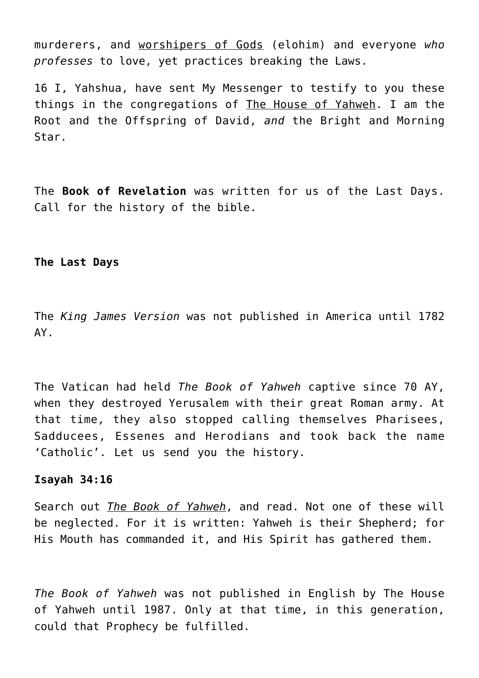murderers, and worshipers of Gods (elohim) and everyone *who professes* to love, yet practices breaking the Laws.

16 I, Yahshua, have sent My Messenger to testify to you these things in the congregations of The House of Yahweh. I am the Root and the Offspring of David, *and* the Bright and Morning Star.

The **Book of Revelation** was written for us of the Last Days. Call for the history of the bible.

#### **The Last Days**

The *King James Version* was not published in America until 1782 AY.

The Vatican had held *The Book of Yahweh* captive since 70 AY, when they destroyed Yerusalem with their great Roman army. At that time, they also stopped calling themselves Pharisees, Sadducees, Essenes and Herodians and took back the name 'Catholic'. Let us send you the history.

#### **Isayah 34:16**

Search out *The Book of Yahweh*, and read. Not one of these will be neglected. For it is written: Yahweh is their Shepherd; for His Mouth has commanded it, and His Spirit has gathered them.

*The Book of Yahweh* was not published in English by The House of Yahweh until 1987. Only at that time, in this generation, could that Prophecy be fulfilled.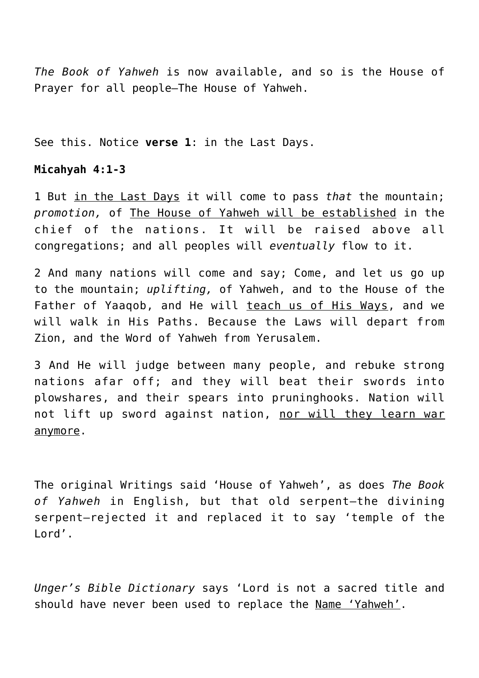*The Book of Yahweh* is now available, and so is the House of Prayer for all people—The House of Yahweh.

See this. Notice **verse 1**: in the Last Days.

## **Micahyah 4:1-3**

1 But in the Last Days it will come to pass *that* the mountain; *promotion,* of The House of Yahweh will be established in the chief of the nations. It will be raised above all congregations; and all peoples will *eventually* flow to it.

2 And many nations will come and say; Come, and let us go up to the mountain; *uplifting,* of Yahweh, and to the House of the Father of Yaaqob, and He will teach us of His Ways, and we will walk in His Paths. Because the Laws will depart from Zion, and the Word of Yahweh from Yerusalem.

3 And He will judge between many people, and rebuke strong nations afar off; and they will beat their swords into plowshares, and their spears into pruninghooks. Nation will not lift up sword against nation, nor will they learn war anymore.

The original Writings said 'House of Yahweh', as does *The Book of Yahweh* in English, but that old serpent—the divining serpent—rejected it and replaced it to say 'temple of the Lord'.

*Unger's Bible Dictionary* says 'Lord is not a sacred title and should have never been used to replace the Name 'Yahweh'.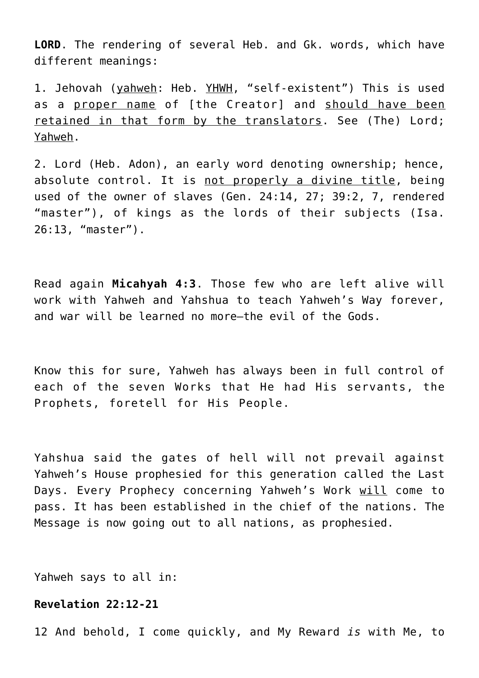**LORD**. The rendering of several Heb. and Gk. words, which have different meanings:

1. Jehovah (yahweh: Heb. YHWH, "self-existent") This is used as a proper name of [the Creator] and should have been retained in that form by the translators. See (The) Lord; Yahweh.

2. Lord (Heb. Adon), an early word denoting ownership; hence, absolute control. It is not properly a divine title, being used of the owner of slaves (Gen. 24:14, 27; 39:2, 7, rendered "master"), of kings as the lords of their subjects (Isa. 26:13, "master").

Read again **Micahyah 4:3**. Those few who are left alive will work with Yahweh and Yahshua to teach Yahweh's Way forever, and war will be learned no more—the evil of the Gods.

Know this for sure, Yahweh has always been in full control of each of the seven Works that He had His servants, the Prophets, foretell for His People.

Yahshua said the gates of hell will not prevail against Yahweh's House prophesied for this generation called the Last Days. Every Prophecy concerning Yahweh's Work will come to pass. It has been established in the chief of the nations. The Message is now going out to all nations, as prophesied.

Yahweh says to all in:

# **Revelation 22:12-21**

12 And behold, I come quickly, and My Reward *is* with Me, to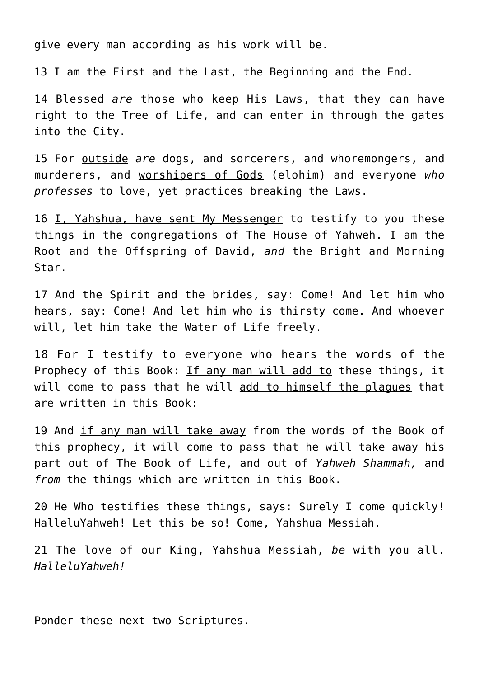give every man according as his work will be.

13 I am the First and the Last, the Beginning and the End.

14 Blessed *are* those who keep His Laws, that they can have right to the Tree of Life, and can enter in through the gates into the City.

15 For outside *are* dogs, and sorcerers, and whoremongers, and murderers, and worshipers of Gods (elohim) and everyone *who professes* to love, yet practices breaking the Laws.

16 I, Yahshua, have sent My Messenger to testify to you these things in the congregations of The House of Yahweh. I am the Root and the Offspring of David, *and* the Bright and Morning Star.

17 And the Spirit and the brides, say: Come! And let him who hears, say: Come! And let him who is thirsty come. And whoever will, let him take the Water of Life freely.

18 For I testify to everyone who hears the words of the Prophecy of this Book: If any man will add to these things, it will come to pass that he will add to himself the plagues that are written in this Book:

19 And if any man will take away from the words of the Book of this prophecy, it will come to pass that he will take away his part out of The Book of Life, and out of *Yahweh Shammah,* and *from* the things which are written in this Book.

20 He Who testifies these things, says: Surely I come quickly! HalleluYahweh! Let this be so! Come, Yahshua Messiah.

21 The love of our King, Yahshua Messiah, *be* with you all. *HalleluYahweh!*

Ponder these next two Scriptures.